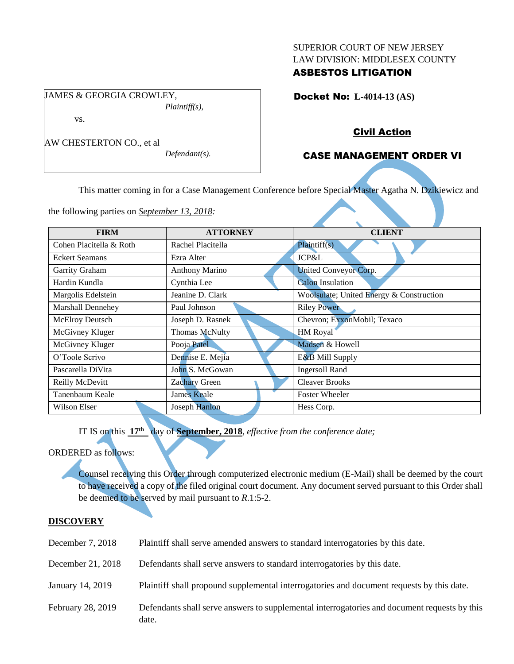#### SUPERIOR COURT OF NEW JERSEY LAW DIVISION: MIDDLESEX COUNTY

### ASBESTOS LITIGATION

Docket No: **L-4014-13 (AS)** 

JAMES & GEORGIA CROWLEY, *Plaintiff(s),*

vs.

AW CHESTERTON CO., et al

*Defendant(s).*

## Civil Action

# CASE MANAGEMENT ORDER VI

This matter coming in for a Case Management Conference before Special Master Agatha N. Dzikiewicz and

the following parties on *September 13, 2018:*

| <b>FIRM</b>             | <b>ATTORNEY</b>       | <b>CLIENT</b>                            |  |  |  |  |  |
|-------------------------|-----------------------|------------------------------------------|--|--|--|--|--|
| Cohen Placitella & Roth | Rachel Placitella     | Plaintiff(s)                             |  |  |  |  |  |
| <b>Eckert Seamans</b>   | Ezra Alter            | JCP&L                                    |  |  |  |  |  |
| Garrity Graham          | <b>Anthony Marino</b> | United Conveyor Corp.                    |  |  |  |  |  |
| Hardin Kundla           | Cynthia Lee           | <b>Calon Insulation</b>                  |  |  |  |  |  |
| Margolis Edelstein      | Jeanine D. Clark      | Woolsulate; United Energy & Construction |  |  |  |  |  |
| Marshall Dennehey       | Paul Johnson          | <b>Riley Power</b>                       |  |  |  |  |  |
| McElroy Deutsch         | Joseph D. Rasnek      | Chevron; ExxonMobil; Texaco              |  |  |  |  |  |
| McGivney Kluger         | Thomas McNulty        | HM Royal                                 |  |  |  |  |  |
| McGivney Kluger         | Pooja Patel           | Madsen & Howell                          |  |  |  |  |  |
| O'Toole Scrivo          | Dennise E. Mejia      | E&B Mill Supply                          |  |  |  |  |  |
| Pascarella DiVita       | John S. McGowan       | <b>Ingersoll Rand</b>                    |  |  |  |  |  |
| Reilly McDevitt         | <b>Zachary Green</b>  | <b>Cleaver Brooks</b>                    |  |  |  |  |  |
| Tanenbaum Keale         | <b>James Keale</b>    | <b>Foster Wheeler</b>                    |  |  |  |  |  |
| Wilson Elser            | Joseph Hanlon         | Hess Corp.                               |  |  |  |  |  |

IT IS on this **17th** day of **September, 2018**, *effective from the conference date;*

### ORDERED as follows:

Counsel receiving this Order through computerized electronic medium (E-Mail) shall be deemed by the court to have received a copy of the filed original court document. Any document served pursuant to this Order shall be deemed to be served by mail pursuant to *R*.1:5-2.

# **DISCOVERY**

| December 7, 2018 |  | Plaintiff shall serve amended answers to standard interrogatories by this date. |
|------------------|--|---------------------------------------------------------------------------------|
|------------------|--|---------------------------------------------------------------------------------|

- December 21, 2018 Defendants shall serve answers to standard interrogatories by this date.
- January 14, 2019 Plaintiff shall propound supplemental interrogatories and document requests by this date.
- February 28, 2019 Defendants shall serve answers to supplemental interrogatories and document requests by this date.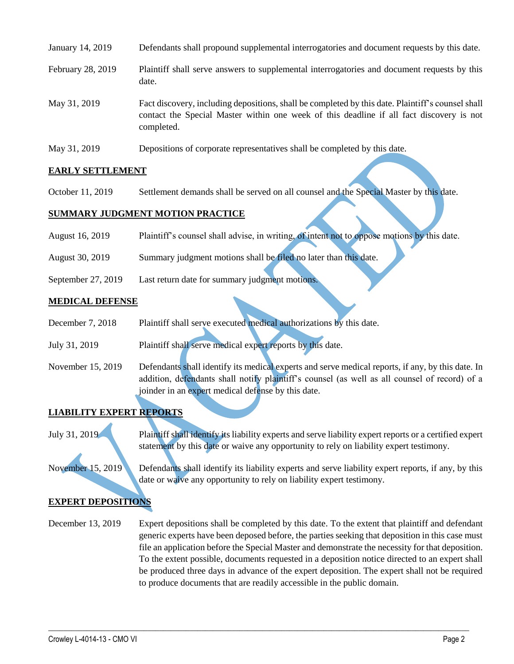| January 14, 2019  | Defendants shall propound supplemental interrogatories and document requests by this date.                                                                                                                  |
|-------------------|-------------------------------------------------------------------------------------------------------------------------------------------------------------------------------------------------------------|
| February 28, 2019 | Plaintiff shall serve answers to supplemental interrogatories and document requests by this<br>date.                                                                                                        |
| May 31, 2019      | Fact discovery, including depositions, shall be completed by this date. Plaintiff's counsel shall<br>contact the Special Master within one week of this deadline if all fact discovery is not<br>completed. |
| May 31, 2019      | Depositions of corporate representatives shall be completed by this date.                                                                                                                                   |

### **EARLY SETTLEMENT**

October 11, 2019 Settlement demands shall be served on all counsel and the Special Master by this date.

### **SUMMARY JUDGMENT MOTION PRACTICE**

| August 16, 2019 | Plaintiff's counsel shall advise, in writing, of intent not to oppose motions by this date. |  |  |  |
|-----------------|---------------------------------------------------------------------------------------------|--|--|--|
|                 |                                                                                             |  |  |  |

- August 30, 2019 Summary judgment motions shall be filed no later than this date.
- September 27, 2019 Last return date for summary judgment motions.

#### **MEDICAL DEFENSE**

- December 7, 2018 Plaintiff shall serve executed medical authorizations by this date.
- July 31, 2019 Plaintiff shall serve medical expert reports by this date.
- November 15, 2019 Defendants shall identify its medical experts and serve medical reports, if any, by this date. In addition, defendants shall notify plaintiff's counsel (as well as all counsel of record) of a joinder in an expert medical defense by this date.

# **LIABILITY EXPERT REPORTS**

July 31, 2019 Plaintiff shall identify its liability experts and serve liability expert reports or a certified expert statement by this date or waive any opportunity to rely on liability expert testimony.

November 15, 2019 Defendants shall identify its liability experts and serve liability expert reports, if any, by this date or waive any opportunity to rely on liability expert testimony.

# **EXPERT DEPOSITIONS**

December 13, 2019 Expert depositions shall be completed by this date. To the extent that plaintiff and defendant generic experts have been deposed before, the parties seeking that deposition in this case must file an application before the Special Master and demonstrate the necessity for that deposition. To the extent possible, documents requested in a deposition notice directed to an expert shall be produced three days in advance of the expert deposition. The expert shall not be required to produce documents that are readily accessible in the public domain.

 $\_$  , and the set of the set of the set of the set of the set of the set of the set of the set of the set of the set of the set of the set of the set of the set of the set of the set of the set of the set of the set of th